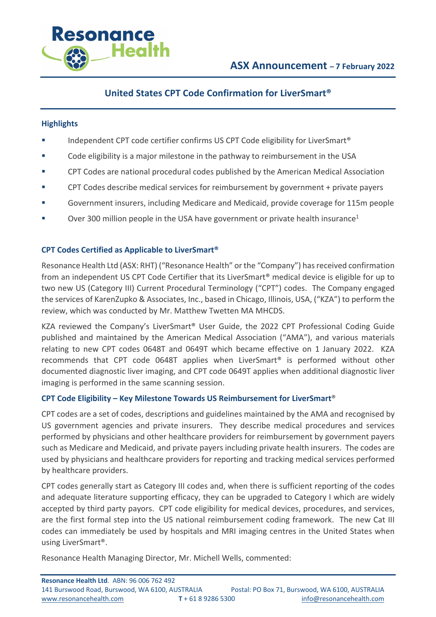

# **United States CPT Code Confirmation for LiverSmart®**

## **Highlights**

- Independent CPT code certifier confirms US CPT Code eligibility for LiverSmart<sup>®</sup>
- Code eligibility is a major milestone in the pathway to reimbursement in the USA
- CPT Codes are national procedural codes published by the American Medical Association
- CPT Codes describe medical services for reimbursement by government + private payers
- Government insurers, including Medicare and Medicaid, provide coverage for 115m people
- Over 300 million people in the USA have government or private health insurance<sup>1</sup>

# **CPT Codes Certified as Applicable to LiverSmart®**

Resonance Health Ltd (ASX: RHT) ("Resonance Health" or the "Company") has received confirmation from an independent US CPT Code Certifier that its LiverSmart® medical device is eligible for up to two new US (Category III) Current Procedural Terminology ("CPT") codes. The Company engaged the services of KarenZupko & Associates, Inc., based in Chicago, Illinois, USA, ("KZA") to perform the review, which was conducted by Mr. Matthew Twetten MA MHCDS.

KZA reviewed the Company's LiverSmart® User Guide, the 2022 CPT Professional Coding Guide published and maintained by the American Medical Association ("AMA"), and various materials relating to new CPT codes 0648T and 0649T which became effective on 1 January 2022. KZA recommends that CPT code 0648T applies when LiverSmart® is performed without other documented diagnostic liver imaging, and CPT code 0649T applies when additional diagnostic liver imaging is performed in the same scanning session.

# **CPT Code Eligibility – Key Milestone Towards US Reimbursement for LiverSmart**®

CPT codes are a set of codes, descriptions and guidelines maintained by the AMA and recognised by US government agencies and private insurers. They describe medical procedures and services performed by physicians and other healthcare providers for reimbursement by government payers such as Medicare and Medicaid, and private payers including private health insurers. The codes are used by physicians and healthcare providers for reporting and tracking medical services performed by healthcare providers.

CPT codes generally start as Category III codes and, when there is sufficient reporting of the codes and adequate literature supporting efficacy, they can be upgraded to Category I which are widely accepted by third party payors. CPT code eligibility for medical devices, procedures, and services, are the first formal step into the US national reimbursement coding framework. The new Cat III codes can immediately be used by hospitals and MRI imaging centres in the United States when using LiverSmart®.

Resonance Health Managing Director, Mr. Michell Wells, commented: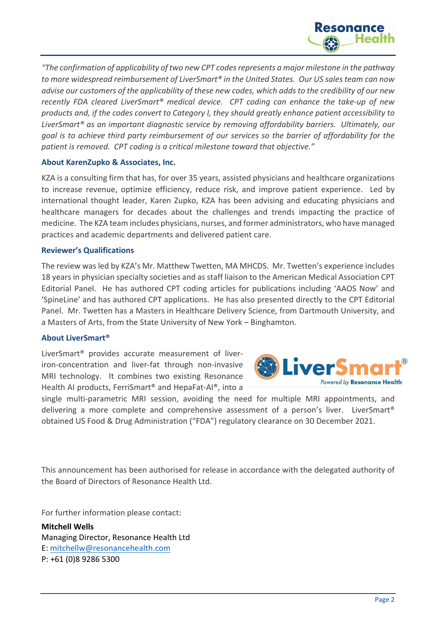

*"The confirmation of applicability of two new CPT codes represents a major milestone in the pathway to more widespread reimbursement of LiverSmart® in the United States. Our US sales team can now advise our customers of the applicability of these new codes, which adds to the credibility of our new recently FDA cleared LiverSmart® medical device. CPT coding can enhance the take-up of new products and, if the codes convert to Category I, they should greatly enhance patient accessibility to LiverSmart® as an important diagnostic service by removing affordability barriers. Ultimately, our goal is to achieve third party reimbursement of our services so the barrier of affordability for the patient is removed. CPT coding is a critical milestone toward that objective."*

## **About KarenZupko & Associates, Inc.**

KZA is a consulting firm that has, for over 35 years, assisted physicians and healthcare organizations to increase revenue, optimize efficiency, reduce risk, and improve patient experience. Led by international thought leader, Karen Zupko, KZA has been advising and educating physicians and healthcare managers for decades about the challenges and trends impacting the practice of medicine. The KZA team includes physicians, nurses, and former administrators, who have managed practices and academic departments and delivered patient care.

### **Reviewer's Qualifications**

The review was led by KZA's Mr. Matthew Twetten, MA MHCDS. Mr. Twetten's experience includes 18 years in physician specialty societies and as staff liaison to the American Medical Association CPT Editorial Panel. He has authored CPT coding articles for publications including 'AAOS Now' and 'SpineLine' and has authored CPT applications. He has also presented directly to the CPT Editorial Panel. Mr. Twetten has a Masters in Healthcare Delivery Science, from Dartmouth University, and a Masters of Arts, from the State University of New York – Binghamton.

### **About LiverSmart®**

LiverSmart® provides accurate measurement of liveriron-concentration and liver-fat through non-invasive MRI technology. It combines two existing Resonance Health AI products, FerriSmart® and HepaFat-AI®, into a



single multi-parametric MRI session, avoiding the need for multiple MRI appointments, and delivering a more complete and comprehensive assessment of a person's liver. LiverSmart® obtained US Food & Drug Administration ("FDA") regulatory clearance on 30 December 2021.

This announcement has been authorised for release in accordance with the delegated authority of the Board of Directors of Resonance Health Ltd.

For further information please contact:

**Mitchell Wells** Managing Director, Resonance Health Ltd E: mitchellw@resonancehealth.com P: +61 (0)8 9286 5300